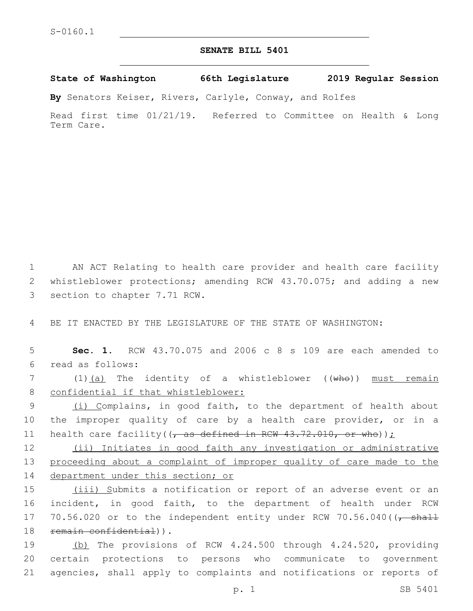## **SENATE BILL 5401**

**State of Washington 66th Legislature 2019 Regular Session**

**By** Senators Keiser, Rivers, Carlyle, Conway, and Rolfes

Read first time 01/21/19. Referred to Committee on Health & Long Term Care.

1 AN ACT Relating to health care provider and health care facility 2 whistleblower protections; amending RCW 43.70.075; and adding a new 3 section to chapter 7.71 RCW.

4 BE IT ENACTED BY THE LEGISLATURE OF THE STATE OF WASHINGTON:

5 **Sec. 1.** RCW 43.70.075 and 2006 c 8 s 109 are each amended to read as follows:6

7 (1)(a) The identity of a whistleblower ((who)) must remain 8 confidential if that whistleblower:

9 (i) Complains, in good faith, to the department of health about 10 the improper quality of care by a health care provider, or in a 11 health care facility( $(\tau$  as defined in RCW 43.72.010, or who));

12 (ii) Initiates in good faith any investigation or administrative 13 proceeding about a complaint of improper quality of care made to the 14 department under this section; or

15 (iii) Submits a notification or report of an adverse event or an 16 incident, in good faith, to the department of health under RCW 17 70.56.020 or to the independent entity under RCW 70.56.040( $\sqrt{$  shall 18 remain confidential)).

19 (b) The provisions of RCW 4.24.500 through 4.24.520, providing 20 certain protections to persons who communicate to government 21 agencies, shall apply to complaints and notifications or reports of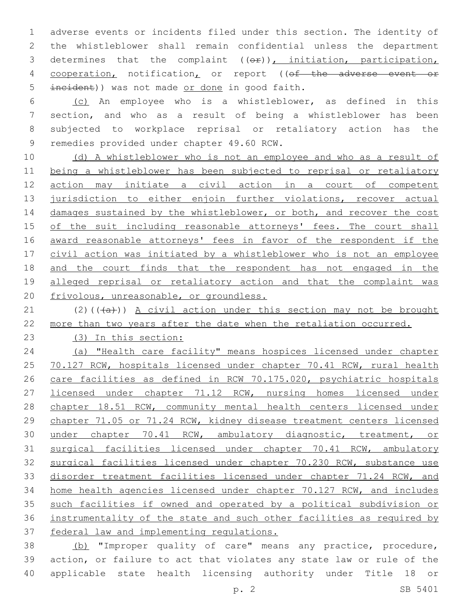adverse events or incidents filed under this section. The identity of the whistleblower shall remain confidential unless the department 3 determines that the complaint ((or)), initiation, participation, 4 cooperation, notification, or report ((of the adverse event or 5 incident)) was not made or done in good faith.

 (c) An employee who is a whistleblower, as defined in this section, and who as a result of being a whistleblower has been subjected to workplace reprisal or retaliatory action has the 9 remedies provided under chapter 49.60 RCW.

10 (d) A whistleblower who is not an employee and who as a result of being a whistleblower has been subjected to reprisal or retaliatory action may initiate a civil action in a court of competent 13 jurisdiction to either enjoin further violations, recover actual 14 damages sustained by the whistleblower, or both, and recover the cost 15 of the suit including reasonable attorneys' fees. The court shall award reasonable attorneys' fees in favor of the respondent if the civil action was initiated by a whistleblower who is not an employee and the court finds that the respondent has not engaged in the 19 alleged reprisal or retaliatory action and that the complaint was frivolous, unreasonable, or groundless.

21 (2)( $(\overline{a})$ ) A civil action under this section may not be brought more than two years after the date when the retaliation occurred.

(3) In this section:

 (a) "Health care facility" means hospices licensed under chapter 25 70.127 RCW, hospitals licensed under chapter 70.41 RCW, rural health care facilities as defined in RCW 70.175.020, psychiatric hospitals 27 licensed under chapter 71.12 RCW, nursing homes licensed under 28 chapter 18.51 RCW, community mental health centers licensed under chapter 71.05 or 71.24 RCW, kidney disease treatment centers licensed under chapter 70.41 RCW, ambulatory diagnostic, treatment, or surgical facilities licensed under chapter 70.41 RCW, ambulatory surgical facilities licensed under chapter 70.230 RCW, substance use disorder treatment facilities licensed under chapter 71.24 RCW, and home health agencies licensed under chapter 70.127 RCW, and includes such facilities if owned and operated by a political subdivision or instrumentality of the state and such other facilities as required by federal law and implementing regulations.

 (b) "Improper quality of care" means any practice, procedure, action, or failure to act that violates any state law or rule of the applicable state health licensing authority under Title 18 or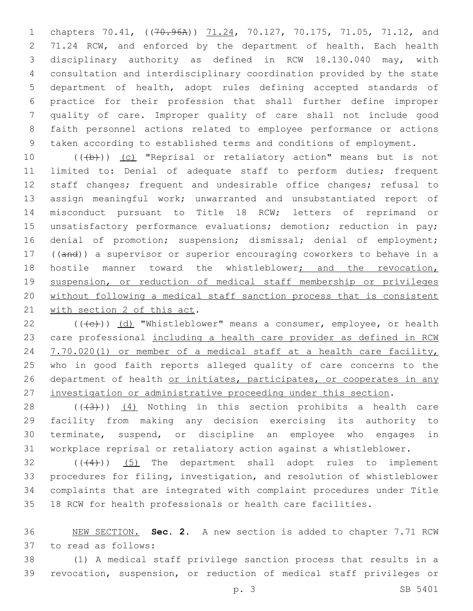1 chapters 70.41, ((70.96A)) 71.24, 70.127, 70.175, 71.05, 71.12, and 71.24 RCW, and enforced by the department of health. Each health disciplinary authority as defined in RCW 18.130.040 may, with consultation and interdisciplinary coordination provided by the state department of health, adopt rules defining accepted standards of practice for their profession that shall further define improper quality of care. Improper quality of care shall not include good faith personnel actions related to employee performance or actions taken according to established terms and conditions of employment.

10 (((b))) (c) "Reprisal or retaliatory action" means but is not limited to: Denial of adequate staff to perform duties; frequent staff changes; frequent and undesirable office changes; refusal to assign meaningful work; unwarranted and unsubstantiated report of misconduct pursuant to Title 18 RCW; letters of reprimand or 15 unsatisfactory performance evaluations; demotion; reduction in pay; 16 denial of promotion; suspension; dismissal; denial of employment; ((and)) a supervisor or superior encouraging coworkers to behave in a 18 hostile manner toward the whistleblower<sub>j</sub> and the revocation, suspension, or reduction of medical staff membership or privileges without following a medical staff sanction process that is consistent 21 with section 2 of this act.

 $((+e))$  (d) "Whistleblower" means a consumer, employee, or health care professional including a health care provider as defined in RCW 24 7.70.020(1) or member of a medical staff at a health care facility, who in good faith reports alleged quality of care concerns to the 26 department of health or initiates, participates, or cooperates in any investigation or administrative proceeding under this section.

 $((+3+))$   $(4)$  Nothing in this section prohibits a health care facility from making any decision exercising its authority to terminate, suspend, or discipline an employee who engages in workplace reprisal or retaliatory action against a whistleblower.

 (( $(4)$ )) (5) The department shall adopt rules to implement procedures for filing, investigation, and resolution of whistleblower complaints that are integrated with complaint procedures under Title 18 RCW for health professionals or health care facilities.

 NEW SECTION. **Sec. 2.** A new section is added to chapter 7.71 RCW 37 to read as follows:

 (1) A medical staff privilege sanction process that results in a revocation, suspension, or reduction of medical staff privileges or